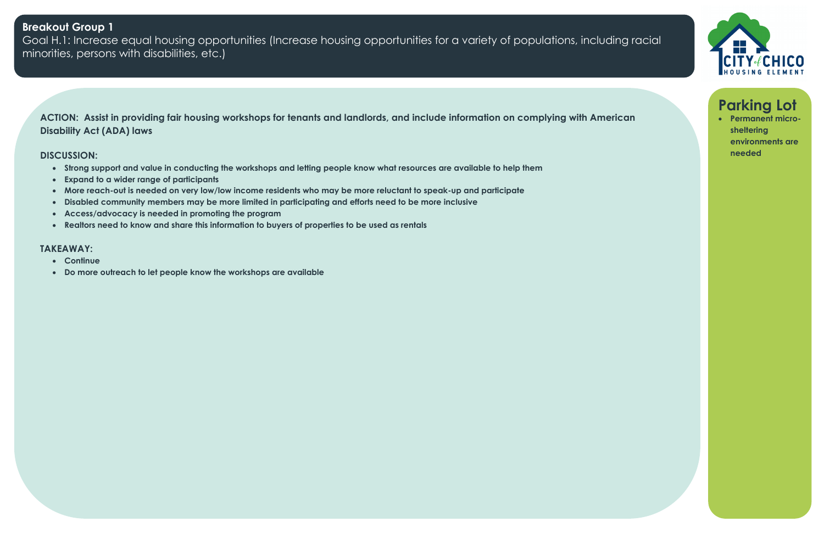• **Permanent microsheltering environments are needed**

**ACTION: Assist in providing fair housing workshops for tenants and landlords, and include information on complying with American Disability Act (ADA) laws**

### **DISCUSSION:**

- **Strong support and value in conducting the workshops and letting people know what resources are available to help them**
- **Expand to a wider range of participants**
- **More reach-out is needed on very low/low income residents who may be more reluctant to speak-up and participate**
- **Disabled community members may be more limited in participating and efforts need to be more inclusive**
- **Access/advocacy is needed in promoting the program**
- **Realtors need to know and share this information to buyers of properties to be used as rentals**

## **TAKEAWAY:**

- **Continue**
- **Do more outreach to let people know the workshops are available**



# **Breakout Group 1**

Goal H.1: Increase equal housing opportunities (Increase housing opportunities for a variety of populations, including racial minorities, persons with disabilities, etc.)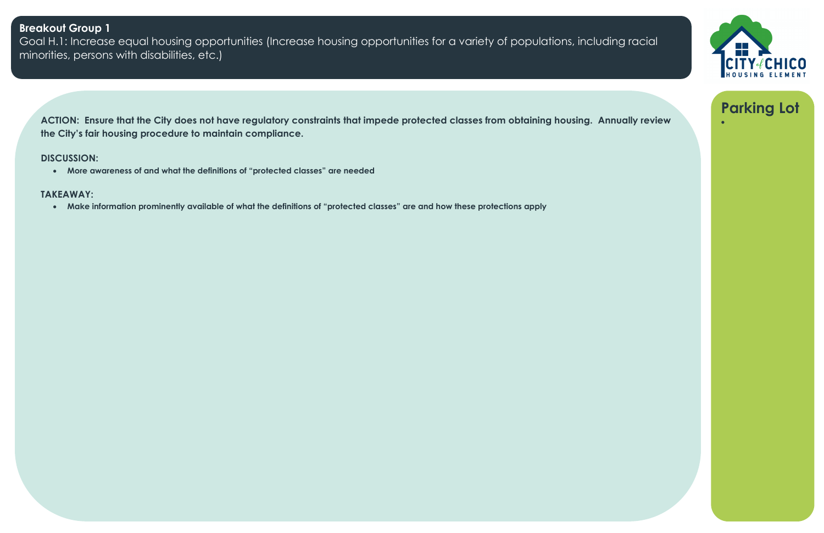**ACTION: Ensure that the City does not have regulatory constraints that impede protected classes from obtaining housing. Annually review** • **the City's fair housing procedure to maintain compliance.**

## **DISCUSSION:**

• **More awareness of and what the definitions of "protected classes" are needed** 

# **TAKEAWAY:**

• **Make information prominently available of what the definitions of "protected classes" are and how these protections apply** 



# **Breakout Group 1**

Goal H.1: Increase equal housing opportunities (Increase housing opportunities for a variety of populations, including racial minorities, persons with disabilities, etc.)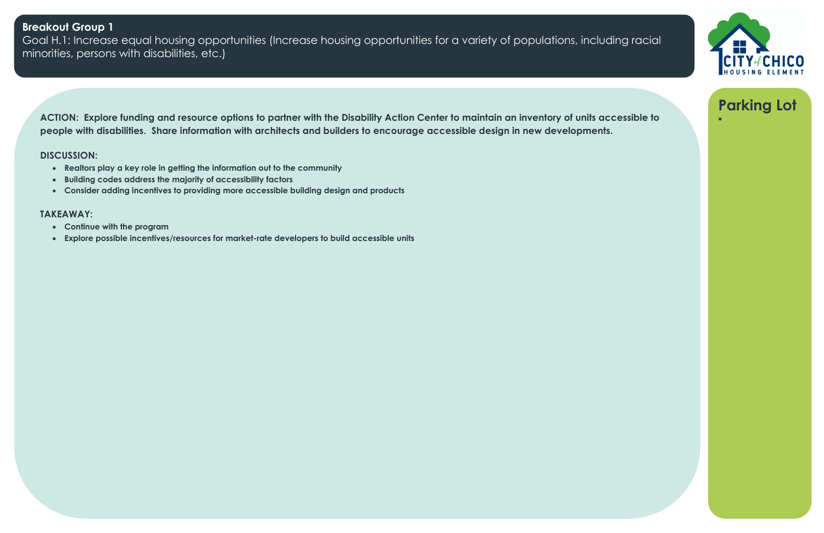**ACTION: Explore funding and resource options to partner with the Disability Action Center to maintain an inventory of units accessible to** • **people with disabilities. Share information with architects and builders to encourage accessible design in new developments.**

### **DISCUSSION:**

- **Realtors play a key role in getting the information out to the community**
- **Building codes address the majority of accessibility factors**
- **Consider adding incentives to providing more accessible building design and products**

### **TAKEAWAY:**

- **Continue with the program**
- **Explore possible incentives/resources for market-rate developers to build accessible units**



# **Breakout Group 1**

Goal H.1: Increase equal housing opportunities (Increase housing opportunities for a variety of populations, including racial minorities, persons with disabilities, etc.)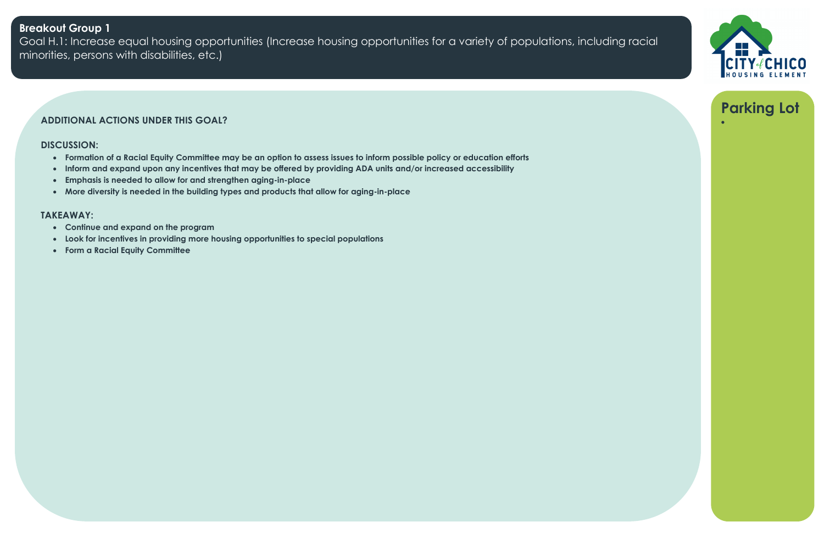# **ADDITIONAL ACTIONS UNDER THIS GOAL?** •

## **DISCUSSION:**

- **Formation of a Racial Equity Committee may be an option to assess issues to inform possible policy or education efforts**
- **Inform and expand upon any incentives that may be offered by providing ADA units and/or increased accessibility**
- **Emphasis is needed to allow for and strengthen aging-in-place**
- **More diversity is needed in the building types and products that allow for aging-in-place**

## **TAKEAWAY:**

- **Continue and expand on the program**
- **Look for incentives in providing more housing opportunities to special populations**
- **Form a Racial Equity Committee**



# **Breakout Group 1**

Goal H.1: Increase equal housing opportunities (Increase housing opportunities for a variety of populations, including racial minorities, persons with disabilities, etc.)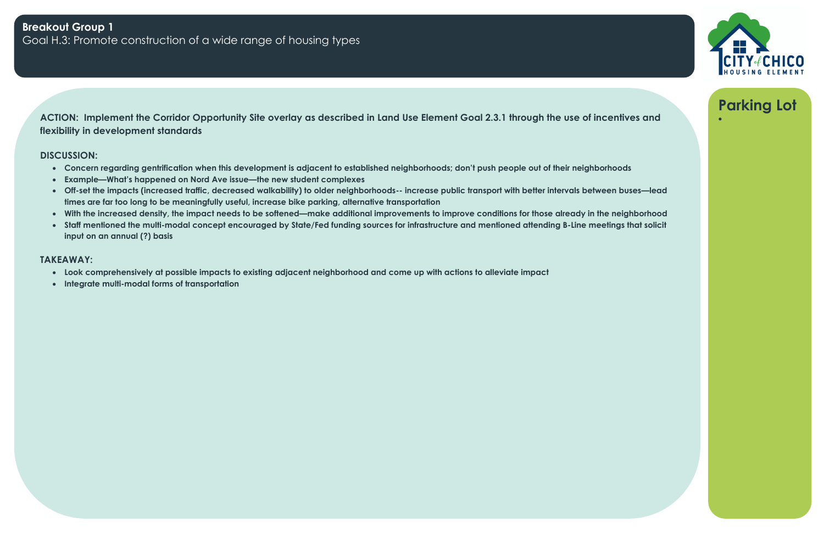**ACTION: Implement the Corridor Opportunity Site overlay as described in Land Use Element Goal 2.3.1 through the use of incentives and** • **flexibility in development standards**

## **DISCUSSION:**

- **Concern regarding gentrification when this development is adjacent to established neighborhoods; don't push people out of their neighborhoods**
- **Example—What's happened on Nord Ave issue—the new student complexes**
- **Off-set the impacts (increased traffic, decreased walkability) to older neighborhoods-- increase public transport with better intervals between buses—lead times are far too long to be meaningfully useful, increase bike parking, alternative transportation**
- **With the increased density, the impact needs to be softened—make additional improvements to improve conditions for those already in the neighborhood**
- **Staff mentioned the multi-modal concept encouraged by State/Fed funding sources for infrastructure and mentioned attending B-Line meetings that solicit input on an annual (?) basis**

- **Look comprehensively at possible impacts to existing adjacent neighborhood and come up with actions to alleviate impact**
- **Integrate multi-modal forms of transportation**

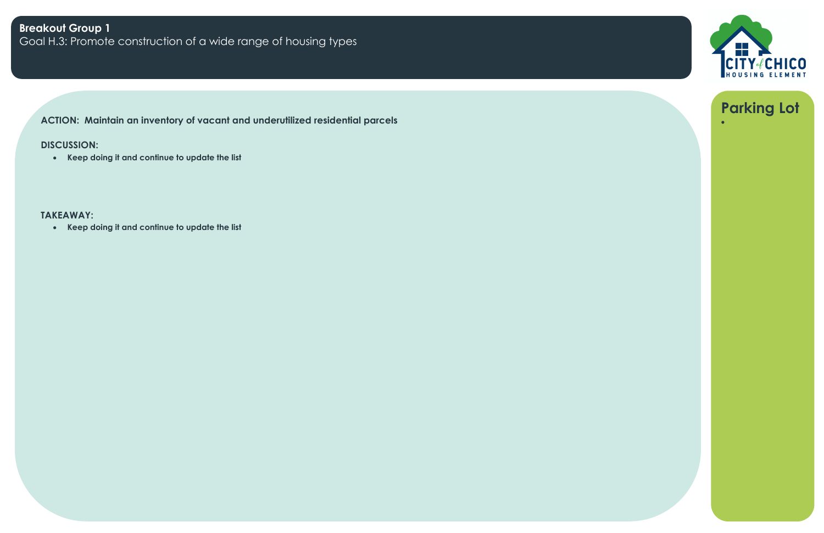# **ACTION: Maintain an inventory of vacant and underutilized residential parcels** •

# **DISCUSSION:**

• **Keep doing it and continue to update the list**

# **TAKEAWAY:**

• **Keep doing it and continue to update the list**





# **Breakout Group 1** Goal H.3: Promote construction of a wide range of housing types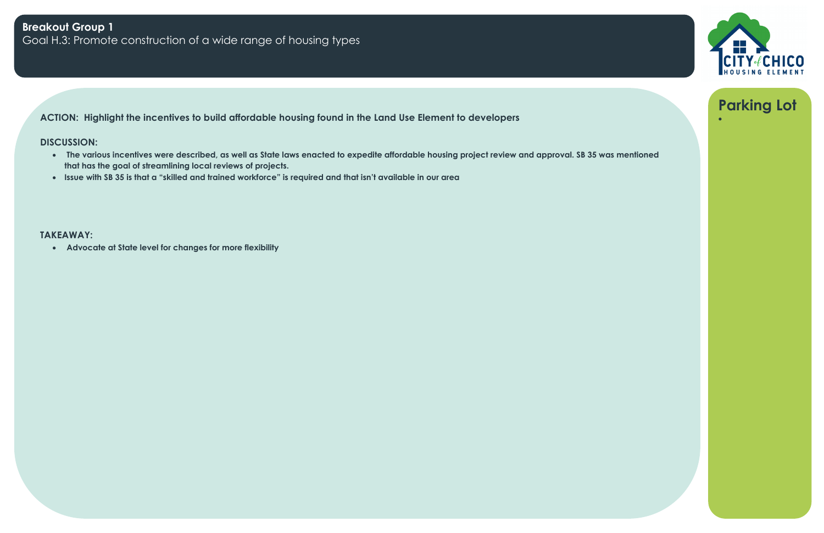# **ACTION: Highlight the incentives to build affordable housing found in the Land Use Element to developers** •

## **DISCUSSION:**

- **The various incentives were described, as well as State laws enacted to expedite affordable housing project review and approval. SB 35 was mentioned that has the goal of streamlining local reviews of projects.**
- **Issue with SB 35 is that a "skilled and trained workforce" is required and that isn't available in our area**

## **TAKEAWAY:**

• **Advocate at State level for changes for more flexibility**



# **Breakout Group 1** Goal H.3: Promote construction of a wide range of housing types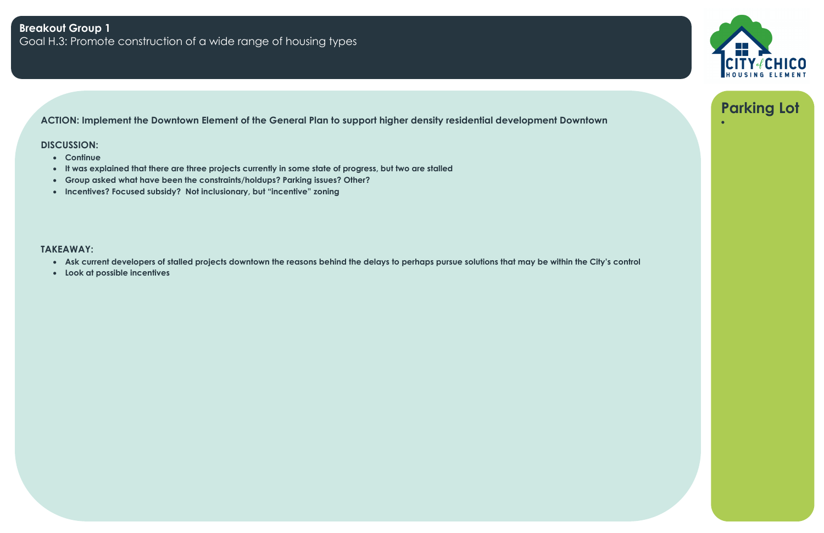# **ACTION: Implement the Downtown Element of the General Plan to support higher density residential development Downtown** •

## **DISCUSSION:**

- **Continue**
- **It was explained that there are three projects currently in some state of progress, but two are stalled**
- **Group asked what have been the constraints/holdups? Parking issues? Other?**
- **Incentives? Focused subsidy? Not inclusionary, but "incentive" zoning**

- **Ask current developers of stalled projects downtown the reasons behind the delays to perhaps pursue solutions that may be within the City's control**
- **Look at possible incentives**



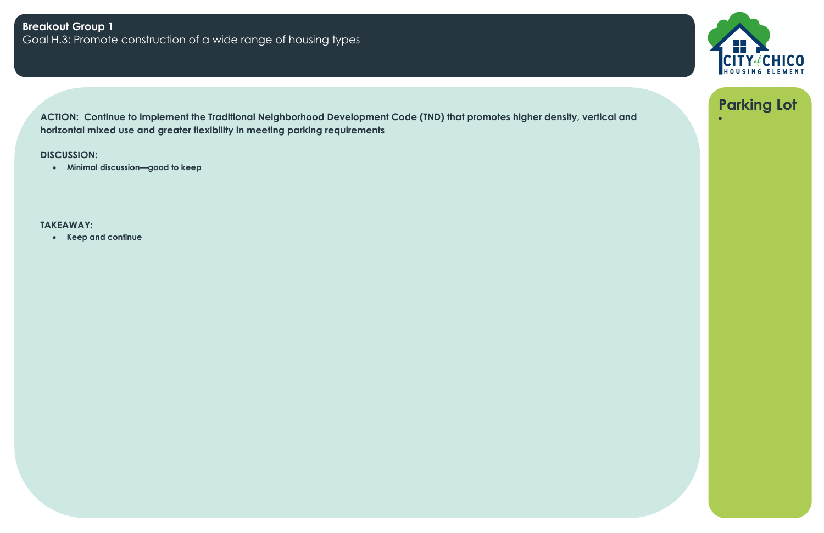**ACTION: Continue to implement the Traditional Neighborhood Development Code (TND) that promotes higher density, vertical and** • **horizontal mixed use and greater flexibility in meeting parking requirements**

# **DISCUSSION:**

• **Minimal discussion—good to keep**

# **TAKEAWAY:**

• **Keep and continue**

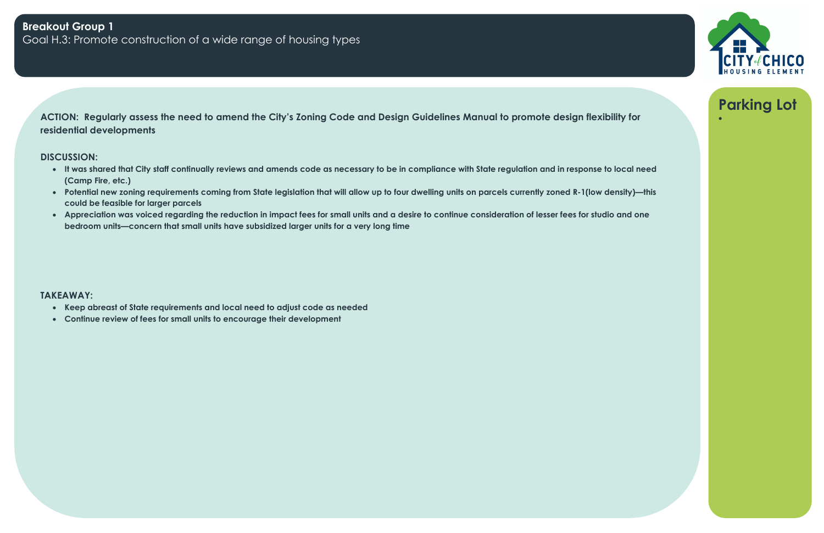**ACTION: Regularly assess the need to amend the City's Zoning Code and Design Guidelines Manual to promote design flexibility for** • **residential developments** 

### **DISCUSSION:**

- **It was shared that City staff continually reviews and amends code as necessary to be in compliance with State regulation and in response to local need (Camp Fire, etc.)**
- **Potential new zoning requirements coming from State legislation that will allow up to four dwelling units on parcels currently zoned R-1(low density)—this could be feasible for larger parcels**
- **Appreciation was voiced regarding the reduction in impact fees for small units and a desire to continue consideration of lesser fees for studio and one bedroom units—concern that small units have subsidized larger units for a very long time**

- **Keep abreast of State requirements and local need to adjust code as needed**
- **Continue review of fees for small units to encourage their development**

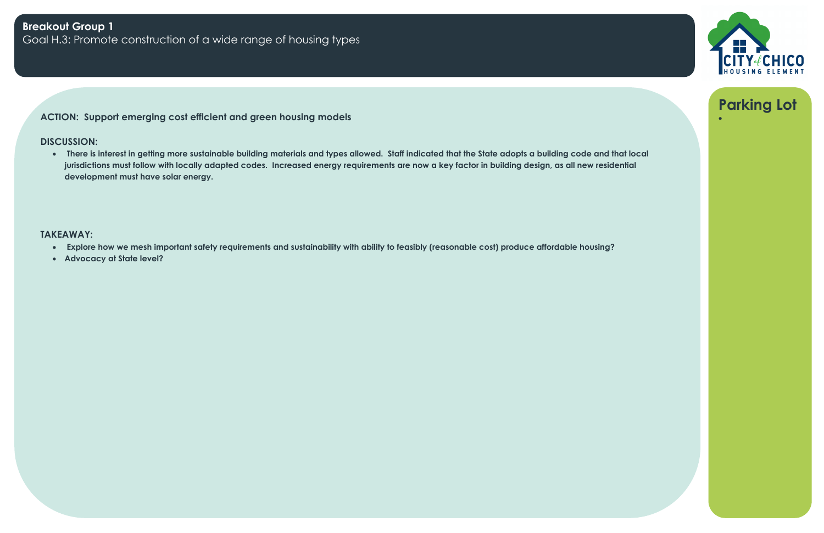# **ACTION: Support emerging cost efficient and green housing models** •

## **DISCUSSION:**

• **There is interest in getting more sustainable building materials and types allowed. Staff indicated that the State adopts a building code and that local jurisdictions must follow with locally adapted codes. Increased energy requirements are now a key factor in building design, as all new residential development must have solar energy.** 

## **TAKEAWAY:**

- **Explore how we mesh important safety requirements and sustainability with ability to feasibly (reasonable cost) produce affordable housing?**
- **Advocacy at State level?**



# **Breakout Group 1** Goal H.3: Promote construction of a wide range of housing types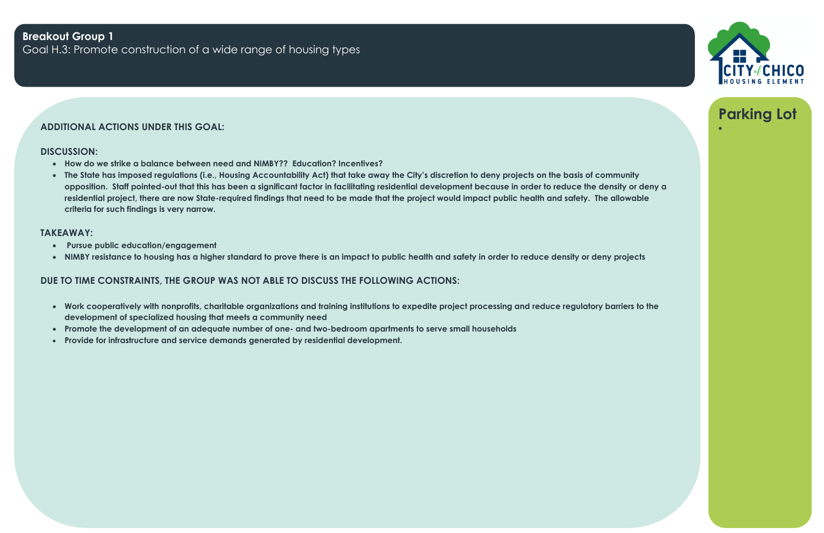# **ADDITIONAL ACTIONS UNDER THIS GOAL:** •

## **DISCUSSION:**

- **How do we strike a balance between need and NIMBY?? Education? Incentives?**
- **The State has imposed regulations (i.e., Housing Accountability Act) that take away the City's discretion to deny projects on the basis of community opposition. Staff pointed-out that this has been a significant factor in facilitating residential development because in order to reduce the density or deny a residential project, there are now State-required findings that need to be made that the project would impact public health and safety. The allowable criteria for such findings is very narrow.**

## **TAKEAWAY:**

- **Pursue public education/engagement**
- **NIMBY resistance to housing has a higher standard to prove there is an impact to public health and safety in order to reduce density or deny projects**

# **DUE TO TIME CONSTRAINTS, THE GROUP WAS NOT ABLE TO DISCUSS THE FOLLOWING ACTIONS:**

- **Work cooperatively with nonprofits, charitable organizations and training institutions to expedite project processing and reduce regulatory barriers to the development of specialized housing that meets a community need**
- **Promote the development of an adequate number of one- and two-bedroom apartments to serve small households**
- **Provide for infrastructure and service demands generated by residential development.**



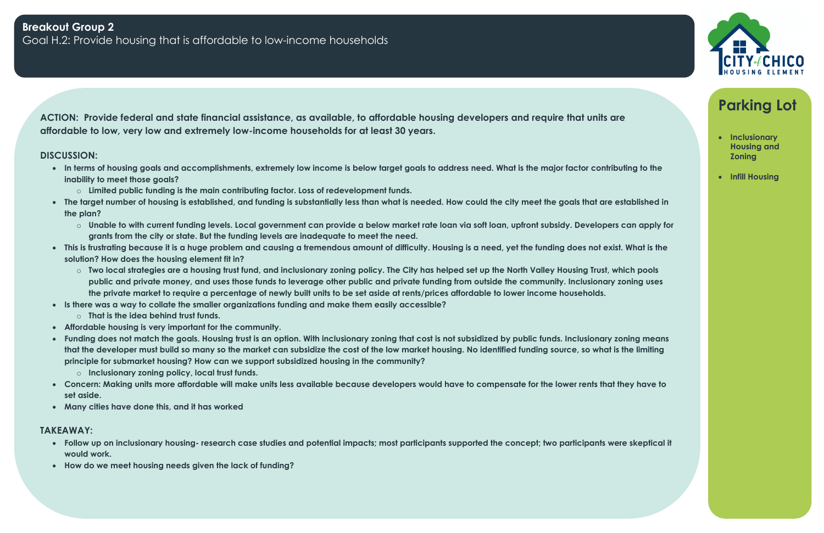- **Inclusionary Housing and Zoning**
- **Infill Housing**

**ACTION: Provide federal and state financial assistance, as available, to affordable housing developers and require that units are affordable to low, very low and extremely low-income households for at least 30 years.**

## **DISCUSSION:**

- **In terms of housing goals and accomplishments, extremely low income is below target goals to address need. What is the major factor contributing to the inability to meet those goals?** 
	- o **Limited public funding is the main contributing factor. Loss of redevelopment funds.**
- **The target number of housing is established, and funding is substantially less than what is needed. How could the city meet the goals that are established in the plan?** 
	- o **Unable to with current funding levels. Local government can provide a below market rate loan via soft loan, upfront subsidy. Developers can apply for grants from the city or state. But the funding levels are inadequate to meet the need.**
- **This is frustrating because it is a huge problem and causing a tremendous amount of difficulty. Housing is a need, yet the funding does not exist. What is the solution? How does the housing element fit in?** 
	- o **Two local strategies are a housing trust fund, and inclusionary zoning policy. The City has helped set up the North Valley Housing Trust, which pools public and private money, and uses those funds to leverage other public and private funding from outside the community. Inclusionary zoning uses the private market to require a percentage of newly built units to be set aside at rents/prices affordable to lower income households.**
- **Is there was a way to collate the smaller organizations funding and make them easily accessible?** 
	- o **That is the idea behind trust funds.**
- **Affordable housing is very important for the community.**
- **Funding does not match the goals. Housing trust is an option. With inclusionary zoning that cost is not subsidized by public funds. Inclusionary zoning means that the developer must build so many so the market can subsidize the cost of the low market housing. No identified funding source, so what is the limiting principle for submarket housing? How can we support subsidized housing in the community?** 
	- o **Inclusionary zoning policy, local trust funds.**
- **Concern: Making units more affordable will make units less available because developers would have to compensate for the lower rents that they have to set aside.**
- **Many cities have done this, and it has worked**

- **Follow up on inclusionary housing- research case studies and potential impacts; most participants supported the concept; two participants were skeptical it would work.**
- **How do we meet housing needs given the lack of funding?**

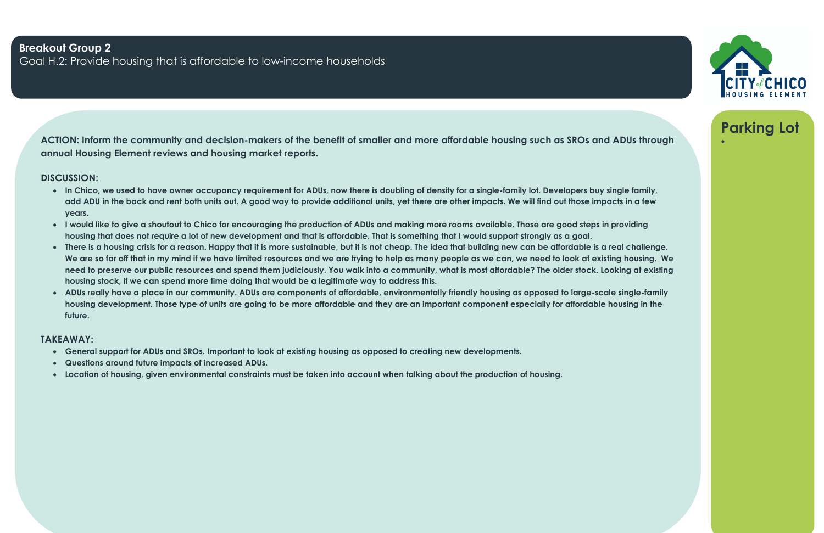**ACTION: Inform the community and decision-makers of the benefit of smaller and more affordable housing such as SROs and ADUs through** • **annual Housing Element reviews and housing market reports.**

## **DISCUSSION:**

- **In Chico, we used to have owner occupancy requirement for ADUs, now there is doubling of density for a single-family lot. Developers buy single family, add ADU in the back and rent both units out. A good way to provide additional units, yet there are other impacts. We will find out those impacts in a few years.**
- **I would like to give a shoutout to Chico for encouraging the production of ADUs and making more rooms available. Those are good steps in providing housing that does not require a lot of new development and that is affordable. That is something that I would support strongly as a goal.**
- **There is a housing crisis for a reason. Happy that it is more sustainable, but it is not cheap. The idea that building new can be affordable is a real challenge. We are so far off that in my mind if we have limited resources and we are trying to help as many people as we can, we need to look at existing housing. We need to preserve our public resources and spend them judiciously. You walk into a community, what is most affordable? The older stock. Looking at existing housing stock, if we can spend more time doing that would be a legitimate way to address this.**
- **ADUs really have a place in our community. ADUs are components of affordable, environmentally friendly housing as opposed to large-scale single-family housing development. Those type of units are going to be more affordable and they are an important component especially for affordable housing in the future.**

- **General support for ADUs and SROs. Important to look at existing housing as opposed to creating new developments.**
- **Questions around future impacts of increased ADUs.**
- **Location of housing, given environmental constraints must be taken into account when talking about the production of housing.**



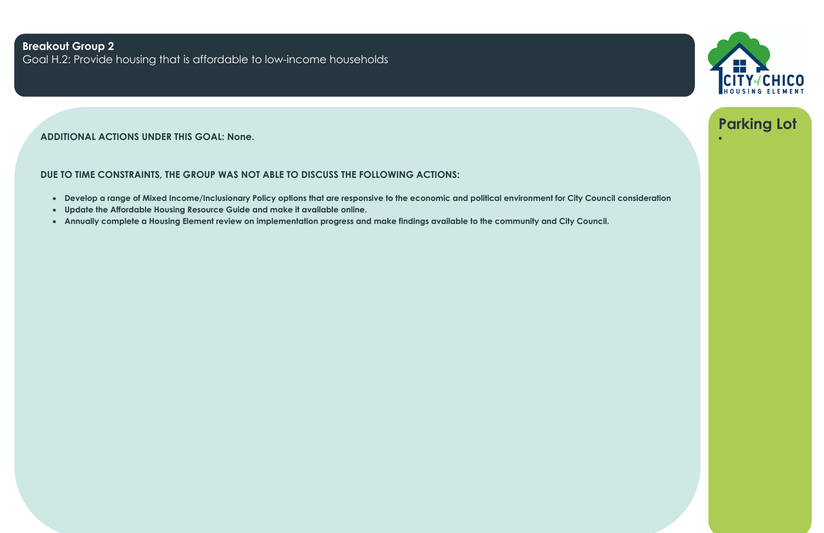# **ADDITIONAL ACTIONS UNDER THIS GOAL: None.** •

# **DUE TO TIME CONSTRAINTS, THE GROUP WAS NOT ABLE TO DISCUSS THE FOLLOWING ACTIONS:**

- **Develop a range of Mixed Income/Inclusionary Policy options that are responsive to the economic and political environment for City Council consideration**
- **Update the Affordable Housing Resource Guide and make it available online.**
- **Annually complete a Housing Element review on implementation progress and make findings available to the community and City Council.**





# **Breakout Group 2** Goal H.2: Provide housing that is affordable to low-income households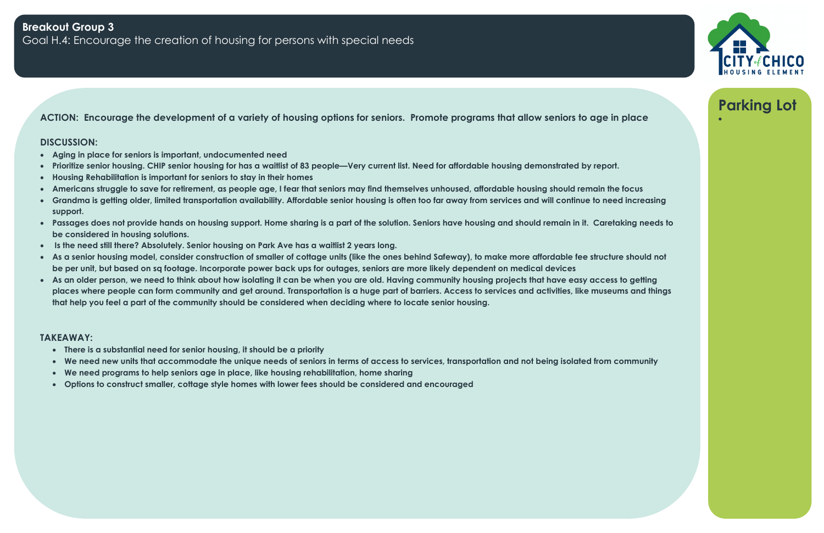# **ACTION: Encourage the development of a variety of housing options for seniors. Promote programs that allow seniors to age in place** •

## **DISCUSSION:**

- **Aging in place for seniors is important, undocumented need**
- **Prioritize senior housing. CHIP senior housing for has a waitlist of 83 people—Very current list. Need for affordable housing demonstrated by report.**
- **Housing Rehabilitation is important for seniors to stay in their homes**
- **Americans struggle to save for retirement, as people age, I fear that seniors may find themselves unhoused, affordable housing should remain the focus**
- **Grandma is getting older, limited transportation availability. Affordable senior housing is often too far away from services and will continue to need increasing support.**
- **Passages does not provide hands on housing support. Home sharing is a part of the solution. Seniors have housing and should remain in it. Caretaking needs to be considered in housing solutions.**
- **Is the need still there? Absolutely. Senior housing on Park Ave has a waitlist 2 years long.**
- **As a senior housing model, consider construction of smaller of cottage units (like the ones behind Safeway), to make more affordable fee structure should not be per unit, but based on sq footage. Incorporate power back ups for outages, seniors are more likely dependent on medical devices**
- **As an older person, we need to think about how isolating it can be when you are old. Having community housing projects that have easy access to getting places where people can form community and get around. Transportation is a huge part of barriers. Access to services and activities, like museums and things that help you feel a part of the community should be considered when deciding where to locate senior housing.**

- **There is a substantial need for senior housing, it should be a priority**
- **We need new units that accommodate the unique needs of seniors in terms of access to services, transportation and not being isolated from community**
- **We need programs to help seniors age in place, like housing rehabilitation, home sharing**
- **Options to construct smaller, cottage style homes with lower fees should be considered and encouraged**

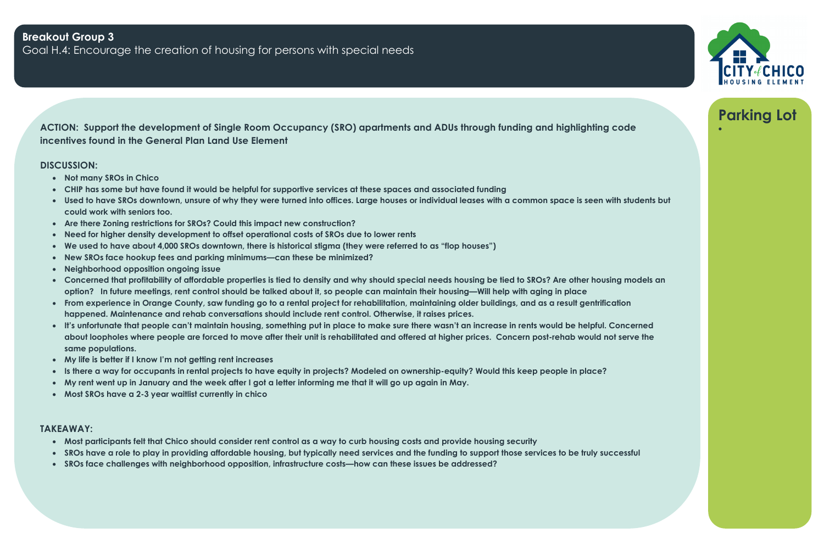**ACTION: Support the development of Single Room Occupancy (SRO) apartments and ADUs through funding and highlighting code** • **incentives found in the General Plan Land Use Element**

## **DISCUSSION:**

- **Not many SROs in Chico**
- **CHIP has some but have found it would be helpful for supportive services at these spaces and associated funding**
- **Used to have SROs downtown, unsure of why they were turned into offices. Large houses or individual leases with a common space is seen with students but could work with seniors too.**
- **Are there Zoning restrictions for SROs? Could this impact new construction?**
- **Need for higher density development to offset operational costs of SROs due to lower rents**
- **We used to have about 4,000 SROs downtown, there is historical stigma (they were referred to as "flop houses")**
- **New SROs face hookup fees and parking minimums—can these be minimized?**
- **Neighborhood opposition ongoing issue**
- **Concerned that profitability of affordable properties is tied to density and why should special needs housing be tied to SROs? Are other housing models an option? In future meetings, rent control should be talked about it, so people can maintain their housing—Will help with aging in place**
- **From experience in Orange County, saw funding go to a rental project for rehabilitation, maintaining older buildings, and as a result gentrification happened. Maintenance and rehab conversations should include rent control. Otherwise, it raises prices.**
- **It's unfortunate that people can't maintain housing, something put in place to make sure there wasn't an increase in rents would be helpful. Concerned about loopholes where people are forced to move after their unit is rehabilitated and offered at higher prices. Concern post-rehab would not serve the same populations.**
- **My life is better if I know I'm not getting rent increases**
- **Is there a way for occupants in rental projects to have equity in projects? Modeled on ownership-equity? Would this keep people in place?**
- **My rent went up in January and the week after I got a letter informing me that it will go up again in May.**
- **Most SROs have a 2-3 year waitlist currently in chico**

- **Most participants felt that Chico should consider rent control as a way to curb housing costs and provide housing security**
- **SROs have a role to play in providing affordable housing, but typically need services and the funding to support those services to be truly successful**
- **SROs face challenges with neighborhood opposition, infrastructure costs—how can these issues be addressed?**



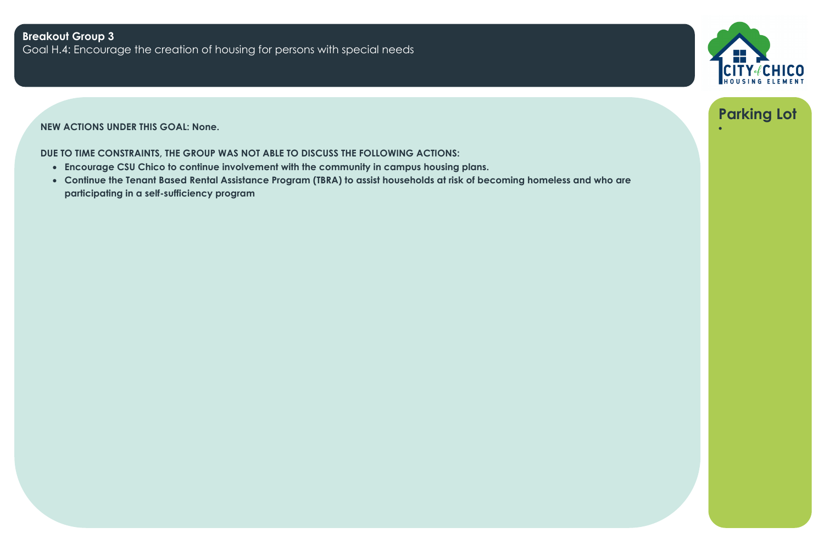# **NEW ACTIONS UNDER THIS GOAL: None.** •

**DUE TO TIME CONSTRAINTS, THE GROUP WAS NOT ABLE TO DISCUSS THE FOLLOWING ACTIONS:**

- **Encourage CSU Chico to continue involvement with the community in campus housing plans.**
- **Continue the Tenant Based Rental Assistance Program (TBRA) to assist households at risk of becoming homeless and who are participating in a self-sufficiency program**



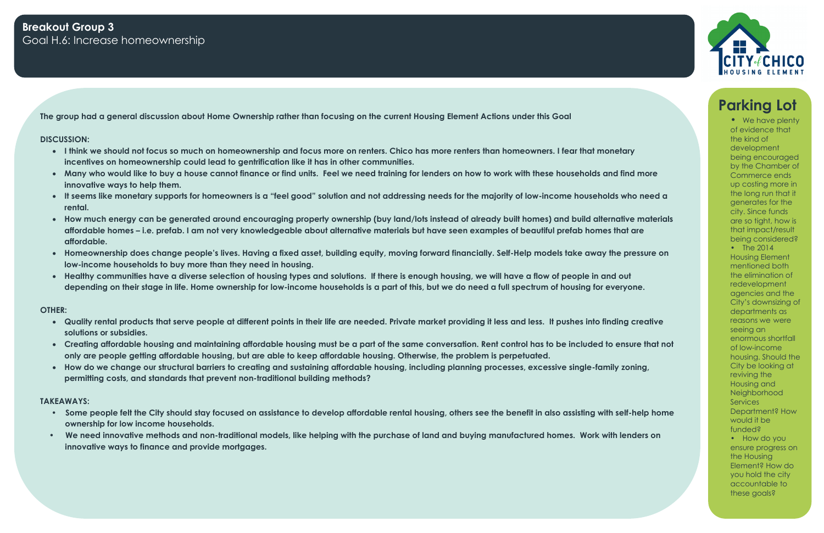• We have plenty of evidence that the kind of development being encouraged by the Chamber of Commerce ends up costing more in the long run that it generates for the city. Since funds are so tight, how is that impact/result being considered? • The 2014 Housing Element mentioned both the elimination of redevelopment agencies and the City's downsizing of departments as reasons we were seeing an enormous shortfall of low-income housing. Should the City be looking at reviving the Housing and Neighborhood **Services** Department? How would it be funded? • How do you ensure progress on the Housing Element? How do you hold the city

accountable to these goals?

**The group had a general discussion about Home Ownership rather than focusing on the current Housing Element Actions under this Goal**

### **DISCUSSION:**

- **I think we should not focus so much on homeownership and focus more on renters. Chico has more renters than homeowners. I fear that monetary incentives on homeownership could lead to gentrification like it has in other communities.**
- **Many who would like to buy a house cannot finance or find units. Feel we need training for lenders on how to work with these households and find more innovative ways to help them.**
- **It seems like monetary supports for homeowners is a "feel good" solution and not addressing needs for the majority of low-income households who need a rental.**
- **How much energy can be generated around encouraging property ownership (buy land/lots instead of already built homes) and build alternative materials affordable homes – i.e. prefab. I am not very knowledgeable about alternative materials but have seen examples of beautiful prefab homes that are affordable.**
- **Homeownership does change people's lives. Having a fixed asset, building equity, moving forward financially. Self-Help models take away the pressure on low-income households to buy more than they need in housing.**
- **Healthy communities have a diverse selection of housing types and solutions. If there is enough housing, we will have a flow of people in and out depending on their stage in life. Home ownership for low-income households is a part of this, but we do need a full spectrum of housing for everyone.**

### **OTHER:**

- **Quality rental products that serve people at different points in their life are needed. Private market providing it less and less. It pushes into finding creative solutions or subsidies.**
- **Creating affordable housing and maintaining affordable housing must be a part of the same conversation. Rent control has to be included to ensure that not only are people getting affordable housing, but are able to keep affordable housing. Otherwise, the problem is perpetuated.**
- **How do we change our structural barriers to creating and sustaining affordable housing, including planning processes, excessive single-family zoning, permitting costs, and standards that prevent non-traditional building methods?**

- **Some people felt the City should stay focused on assistance to develop affordable rental housing, others see the benefit in also assisting with self-help home ownership for low income households.**
- **We need innovative methods and non-traditional models, like helping with the purchase of land and buying manufactured homes. Work with lenders on innovative ways to finance and provide mortgages.**

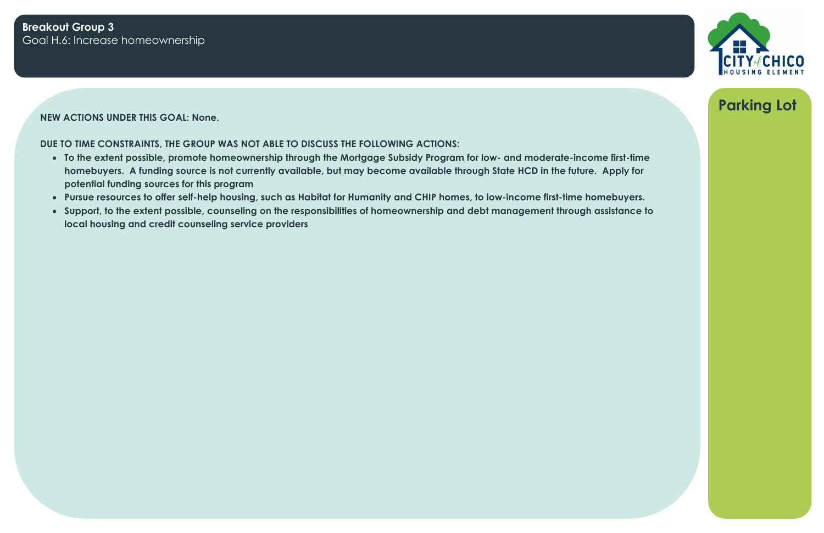# **NEW ACTIONS UNDER THIS GOAL: None.**

# **DUE TO TIME CONSTRAINTS, THE GROUP WAS NOT ABLE TO DISCUSS THE FOLLOWING ACTIONS:**

- **To the extent possible, promote homeownership through the Mortgage Subsidy Program for low- and moderate-income first-time homebuyers. A funding source is not currently available, but may become available through State HCD in the future. Apply for potential funding sources for this program**
- **Pursue resources to offer self-help housing, such as Habitat for Humanity and CHIP homes, to low-income first-time homebuyers.**
- **Support, to the extent possible, counseling on the responsibilities of homeownership and debt management through assistance to local housing and credit counseling service providers**

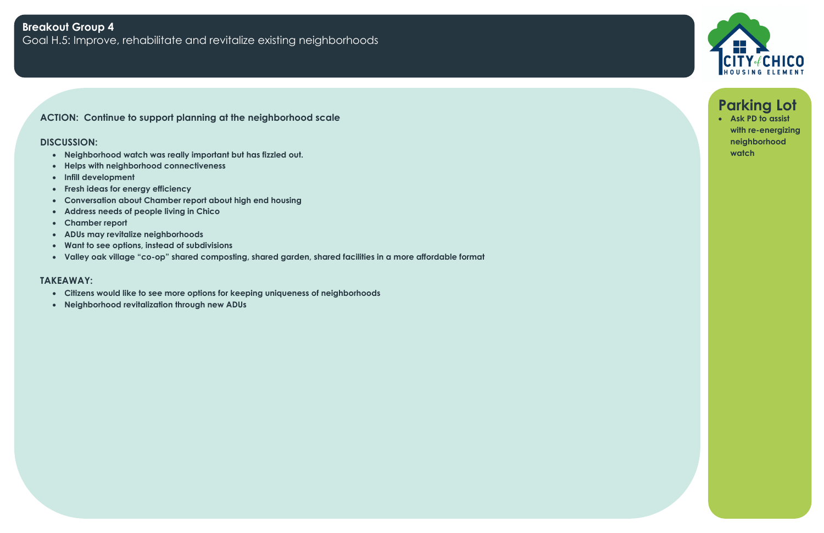• **Ask PD to assist with re-energizing neighborhood watch**

# **ACTION: Continue to support planning at the neighborhood scale**

## **DISCUSSION:**

- **Neighborhood watch was really important but has fizzled out.**
- **Helps with neighborhood connectiveness**
- **Infill development**
- **Fresh ideas for energy efficiency**
- **Conversation about Chamber report about high end housing**
- **Address needs of people living in Chico**
- **Chamber report**
- **ADUs may revitalize neighborhoods**
- **Want to see options, instead of subdivisions**
- **Valley oak village "co-op" shared composting, shared garden, shared facilities in a more affordable format**

# **Breakout Group 4** Goal H.5: Improve, rehabilitate and revitalize existing neighborhoods

- **Citizens would like to see more options for keeping uniqueness of neighborhoods**
- **Neighborhood revitalization through new ADUs**



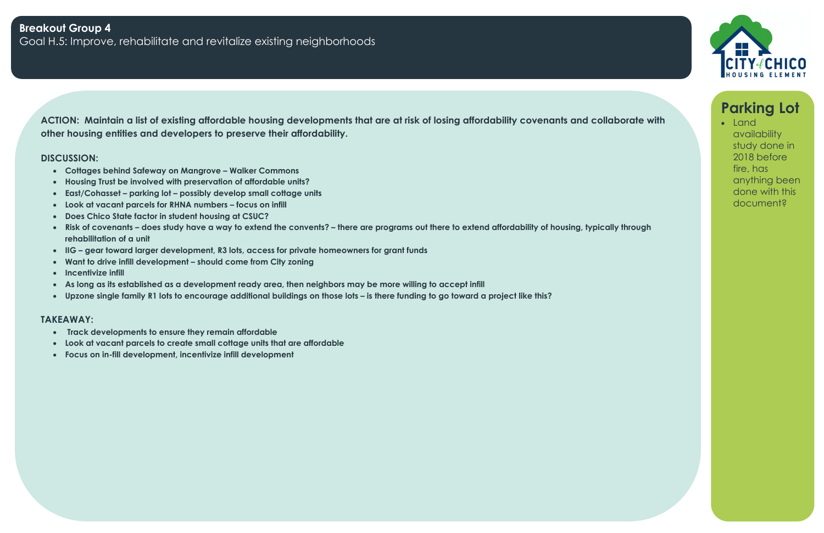• Land availability study done in 2018 before fire, has anything been done with this document?

**ACTION: Maintain a list of existing affordable housing developments that are at risk of losing affordability covenants and collaborate with other housing entities and developers to preserve their affordability.**

## **DISCUSSION:**

- **Cottages behind Safeway on Mangrove – Walker Commons**
- **Housing Trust be involved with preservation of affordable units?**
- **East/Cohasset – parking lot – possibly develop small cottage units**
- **Look at vacant parcels for RHNA numbers – focus on infill**
- **Does Chico State factor in student housing at CSUC?**
- **Risk of covenants – does study have a way to extend the convents? – there are programs out there to extend affordability of housing, typically through rehabilitation of a unit**
- **IIG – gear toward larger development, R3 lots, access for private homeowners for grant funds**
- **Want to drive infill development – should come from City zoning**
- **Incentivize infill**
- **As long as its established as a development ready area, then neighbors may be more willing to accept infill**
- **Upzone single family R1 lots to encourage additional buildings on those lots – is there funding to go toward a project like this?**

- **Track developments to ensure they remain affordable**
- **Look at vacant parcels to create small cottage units that are affordable**
- **Focus on in-fill development, incentivize infill development**

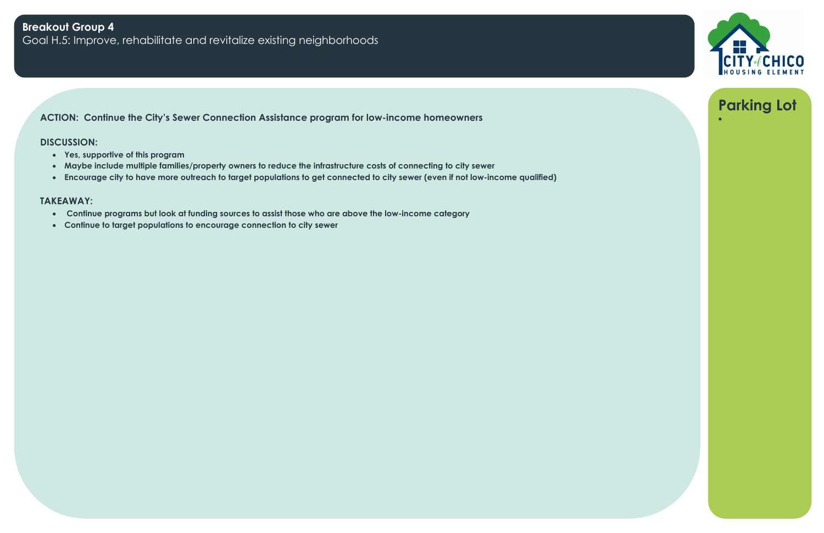# **ACTION: Continue the City's Sewer Connection Assistance program for low-income homeowners** •

## **DISCUSSION:**

- **Yes, supportive of this program**
- **Maybe include multiple families/property owners to reduce the infrastructure costs of connecting to city sewer**
- **Encourage city to have more outreach to target populations to get connected to city sewer (even if not low-income qualified)**

- **Continue programs but look at funding sources to assist those who are above the low-income category**
- **Continue to target populations to encourage connection to city sewer**



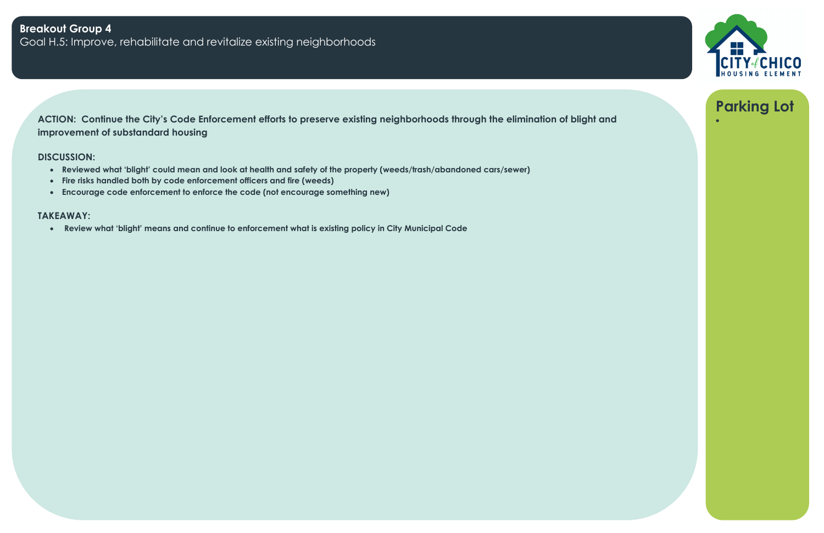**ACTION: Continue the City's Code Enforcement efforts to preserve existing neighborhoods through the elimination of blight and** • **improvement of substandard housing**

## **DISCUSSION:**

- **Reviewed what 'blight' could mean and look at health and safety of the property (weeds/trash/abandoned cars/sewer)**
- **Fire risks handled both by code enforcement officers and fire (weeds)**
- **Encourage code enforcement to enforce the code (not encourage something new)**

# **TAKEAWAY:**

• **Review what 'blight' means and continue to enforcement what is existing policy in City Municipal Code**

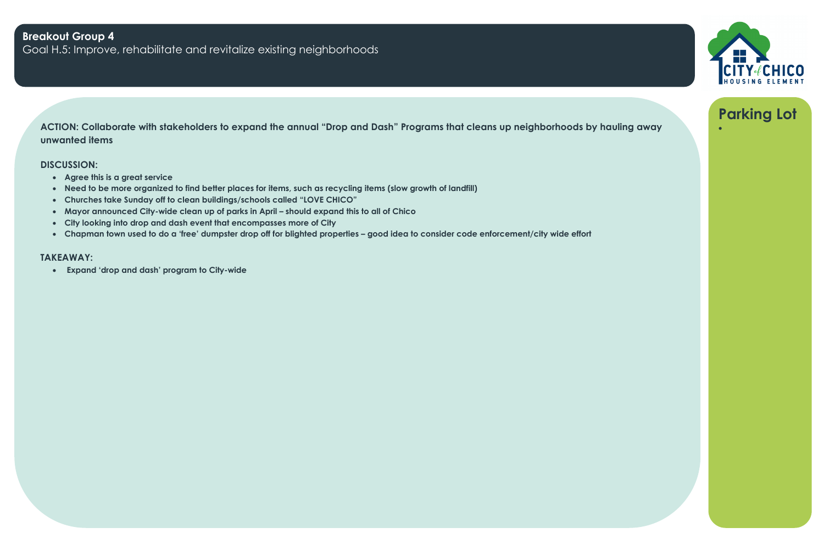**ACTION: Collaborate with stakeholders to expand the annual "Drop and Dash" Programs that cleans up neighborhoods by hauling away** • **unwanted items**

## **DISCUSSION:**

- **Agree this is a great service**
- **Need to be more organized to find better places for items, such as recycling items (slow growth of landfill)**
- **Churches take Sunday off to clean buildings/schools called "LOVE CHICO"**
- **Mayor announced City-wide clean up of parks in April – should expand this to all of Chico**
- **City looking into drop and dash event that encompasses more of City**
- **Chapman town used to do a 'free' dumpster drop off for blighted properties – good idea to consider code enforcement/city wide effort**

## **TAKEAWAY:**

• **Expand 'drop and dash' program to City-wide**



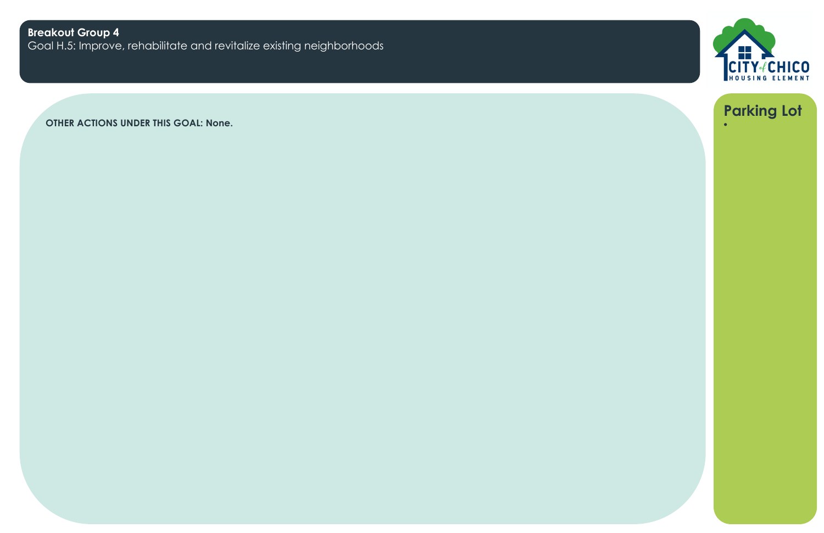**OTHER ACTIONS UNDER THIS GOAL: None.** •



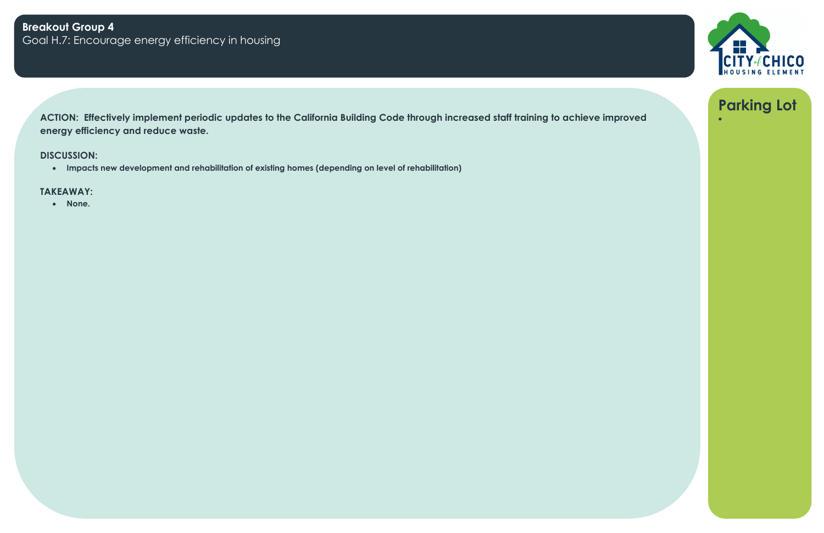**ACTION: Effectively implement periodic updates to the California Building Code through increased staff training to achieve improved** • **energy efficiency and reduce waste.**

## **DISCUSSION:**

• **Impacts new development and rehabilitation of existing homes (depending on level of rehabilitation)**

# **TAKEAWAY:**

• **None.**

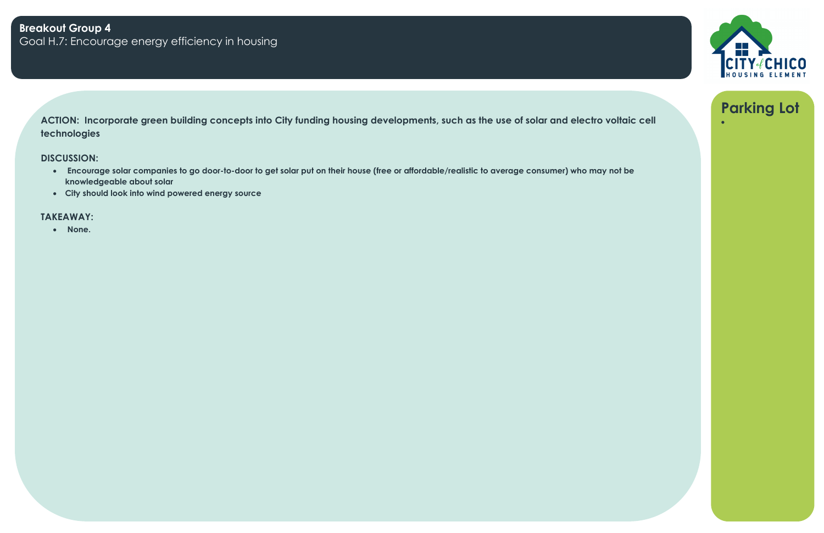**ACTION: Incorporate green building concepts into City funding housing developments, such as the use of solar and electro voltaic cell** • **technologies**

## **DISCUSSION:**

- **Encourage solar companies to go door-to-door to get solar put on their house (free or affordable/realistic to average consumer) who may not be knowledgeable about solar**
- **City should look into wind powered energy source**

# **TAKEAWAY:**

• **None.**



# **Breakout Group 4** Goal H.7: Encourage energy efficiency in housing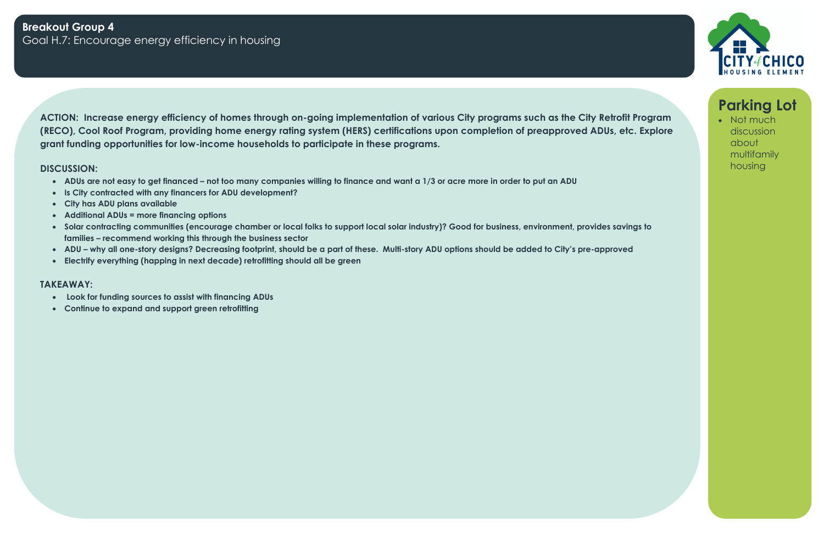• Not much discussion about multifamily housing

**ACTION: Increase energy efficiency of homes through on-going implementation of various City programs such as the City Retrofit Program (RECO), Cool Roof Program, providing home energy rating system (HERS) certifications upon completion of preapproved ADUs, etc. Explore grant funding opportunities for low-income households to participate in these programs.**

## **DISCUSSION:**

- **ADUs are not easy to get financed – not too many companies willing to finance and want a 1/3 or acre more in order to put an ADU**
- **Is City contracted with any financers for ADU development?**
- **City has ADU plans available**
- **Additional ADUs = more financing options**
- **Solar contracting communities (encourage chamber or local folks to support local solar industry)? Good for business, environment, provides savings to families – recommend working this through the business sector**
- **ADU – why all one-story designs? Decreasing footprint, should be a part of these. Multi-story ADU options should be added to City's pre-approved**
- **Electrify everything (happing in next decade) retrofitting should all be green**

- **Look for funding sources to assist with financing ADUs**
- **Continue to expand and support green retrofitting**